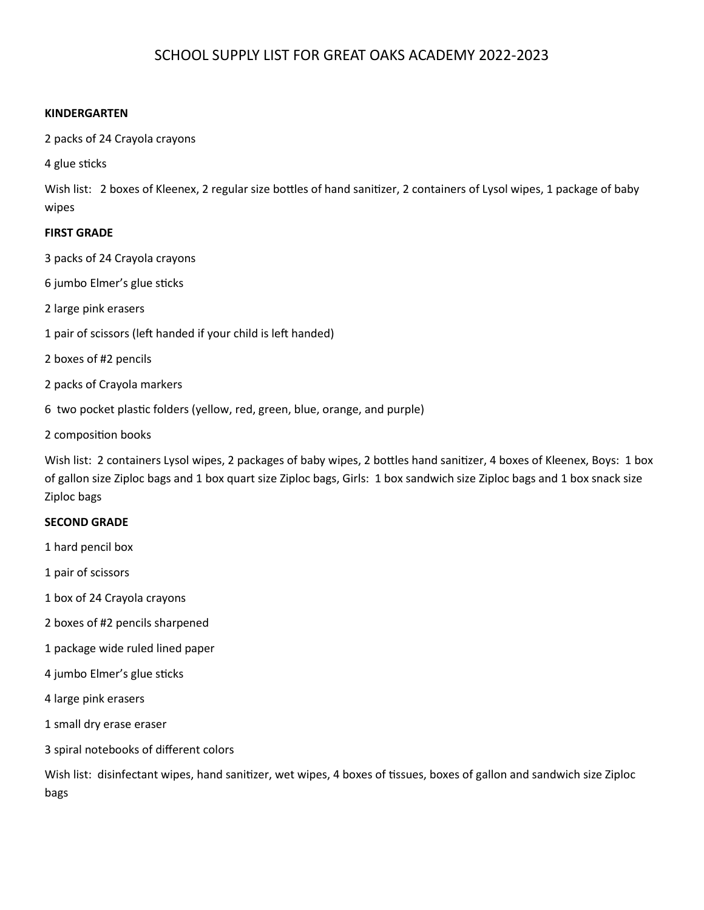# SCHOOL SUPPLY LIST FOR GREAT OAKS ACADEMY 2022-2023

# **KINDERGARTEN**

2 packs of 24 Crayola crayons

4 glue sticks

Wish list: 2 boxes of Kleenex, 2 regular size bottles of hand sanitizer, 2 containers of Lysol wipes, 1 package of baby wipes

# **FIRST GRADE**

3 packs of 24 Crayola crayons

6 jumbo Elmer's glue sticks

2 large pink erasers

- 1 pair of scissors (left handed if your child is left handed)
- 2 boxes of #2 pencils
- 2 packs of Crayola markers
- 6 two pocket plastic folders (yellow, red, green, blue, orange, and purple)
- 2 composition books

Wish list: 2 containers Lysol wipes, 2 packages of baby wipes, 2 bottles hand sanitizer, 4 boxes of Kleenex, Boys: 1 box of gallon size Ziploc bags and 1 box quart size Ziploc bags, Girls: 1 box sandwich size Ziploc bags and 1 box snack size Ziploc bags

### **SECOND GRADE**

1 hard pencil box

1 pair of scissors

- 1 box of 24 Crayola crayons
- 2 boxes of #2 pencils sharpened
- 1 package wide ruled lined paper
- 4 jumbo Elmer's glue sticks
- 4 large pink erasers
- 1 small dry erase eraser
- 3 spiral notebooks of different colors

Wish list: disinfectant wipes, hand sanitizer, wet wipes, 4 boxes of tissues, boxes of gallon and sandwich size Ziploc bags